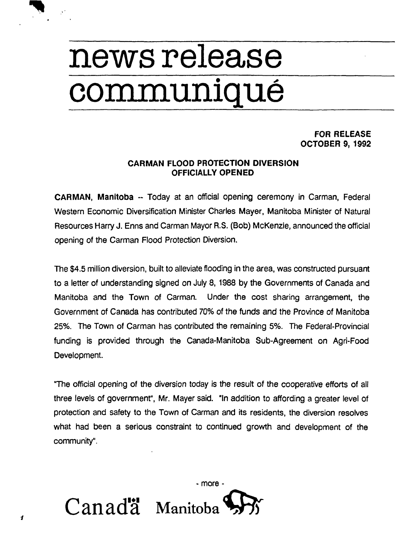## **news release communiqué**

## **FOR RELEASE OCTOBER 9, 1992**

## **CARMAN FLOOD PROTECTION DIVERSION OFFICIALLY OPENED**

**CARMAN, Manitoba -- Today at an official opening ceremony in Carman, Federal Western Economic Diversification Minister Charles Mayer, Manitoba Minister of Natural Resources Harry J. Enns and Carman Mayor R.S. (Bob) McKenzie, announced the official opening of the Carman Flood Protection Diversion.** 

**The \$4.5 million diversion, built to alleviate flooding in the area, was constructed pursuant to a letter of understanding signed on July 8, 1988 by the Governments of Canada and Manitoba and the Town of Carman. Under the cost sharing arrangement, the Government of Canada has contributed 70% of the funds and the Province of Manitoba 25%. The Town of Carman has contributed the remaining 5%. The Federal-Provincial funding is provided through the Canada-Manitoba Sub-Agreement on Agri-Food Development.** 

**"The official opening of the diversion today is the result of the cooperative efforts of all three levels of government", Mr. Mayer said. "In addition to affording a greater level of protection and safety to the Town of Carman and its residents, the diversion resolves what had been a serious constraint to continued growth and development of the community".** 

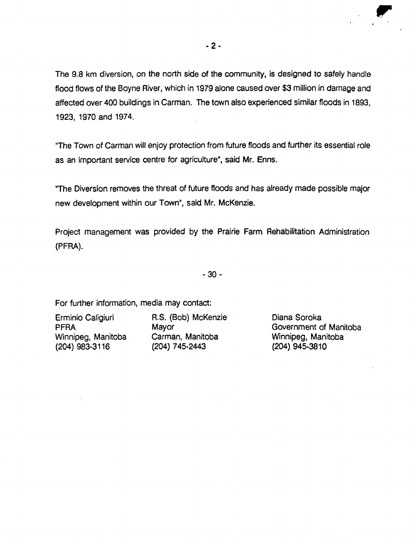The 9.8 km diversion, on the north side of the community, is designed to safely handle flood flows of the Boyne River, which in 1979 alone caused over \$3 million in damage and affected over 400 buildings in Carman. The town also experienced similar floods in 1893, 1923, 1970 and 1974.

"The Town of Carman will enjoy protection from future floods and further its essential role as an important service centre for agriculture", said Mr. Enns.

"The Diversion removes the threat of future floods and has already made possible major new development within our Town", said Mr. McKenzie.

Project management was provided by the Prairie Farm Rehabilitation Administration (PFRA).

- 30 -

For further information, media may contact:

(204) 983-3116

Erminio Caligiuri R.S. (Bob) McKenzie Diana Soroka Carman, Manitoba **Winnipeg, Manitoba (204)** 745-2443 (204)

PFRA Mayor Mayor Mayor Government of Manitoba<br>
Winnipeg, Manitoba Carman, Manitoba Winnipeg, Manitoba